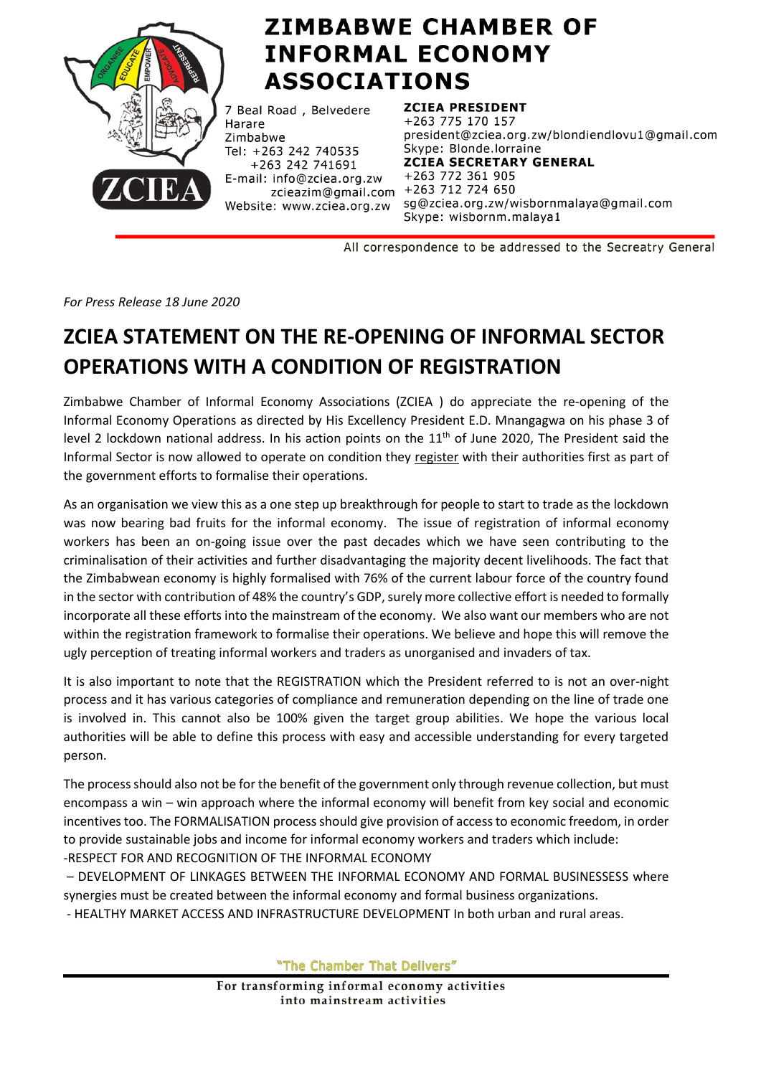

## **ZIMBABWE CHAMBER OF INFORMAL ECONOMY ASSOCIATIONS**

7 Beal Road, Belvedere Harare Zimbabwe Tel: +263 242 740535 +263 242 741691 E-mail: info@zciea.org.zw  $\frac{3}{2}$  and  $\frac{3}{2}$  and  $\frac{1}{2}$  and  $\frac{1}{2}$  and  $\frac{1}{2}$  and  $\frac{1}{2}$  and  $\frac{1}{2}$  and  $\frac{1}{2}$  and  $\frac{1}{2}$  and  $\frac{1}{2}$  and  $\frac{1}{2}$  and  $\frac{1}{2}$  and  $\frac{1}{2}$  and  $\frac{1}{2}$  and  $\frac{1}{2}$  and  $\frac{1}{2}$  a Website: www.zciea.org.zw

**ZCIEA PRESIDENT** 

+263 775 170 157 president@zciea.org.zw/blondiendlovu1@gmail.com Skype: Blonde.lorraine **ZCIEA SECRETARY GENERAL** +263 772 361 905 sg@zciea.org.zw/wisbornmalaya@gmail.com Skype: wisbornm.malaya1

All correspondence to be addressed to the Secreatry General

*For Press Release 18 June 2020*

## **ZCIEA STATEMENT ON THE RE-OPENING OF INFORMAL SECTOR OPERATIONS WITH A CONDITION OF REGISTRATION**

Zimbabwe Chamber of Informal Economy Associations (ZCIEA ) do appreciate the re-opening of the Informal Economy Operations as directed by His Excellency President E.D. Mnangagwa on his phase 3 of level 2 lockdown national address. In his action points on the  $11<sup>th</sup>$  of June 2020, The President said the Informal Sector is now allowed to operate on condition they register with their authorities first as part of the government efforts to formalise their operations.

As an organisation we view this as a one step up breakthrough for people to start to trade as the lockdown was now bearing bad fruits for the informal economy. The issue of registration of informal economy workers has been an on-going issue over the past decades which we have seen contributing to the criminalisation of their activities and further disadvantaging the majority decent livelihoods. The fact that the Zimbabwean economy is highly formalised with 76% of the current labour force of the country found in the sector with contribution of 48% the country's GDP, surely more collective effort is needed to formally incorporate all these efforts into the mainstream of the economy. We also want our members who are not within the registration framework to formalise their operations. We believe and hope this will remove the ugly perception of treating informal workers and traders as unorganised and invaders of tax.

It is also important to note that the REGISTRATION which the President referred to is not an over-night process and it has various categories of compliance and remuneration depending on the line of trade one is involved in. This cannot also be 100% given the target group abilities. We hope the various local authorities will be able to define this process with easy and accessible understanding for every targeted person.

The process should also not be for the benefit of the government only through revenue collection, but must encompass a win – win approach where the informal economy will benefit from key social and economic incentives too. The FORMALISATION process should give provision of access to economic freedom, in order to provide sustainable jobs and income for informal economy workers and traders which include: -RESPECT FOR AND RECOGNITION OF THE INFORMAL ECONOMY

– DEVELOPMENT OF LINKAGES BETWEEN THE INFORMAL ECONOMY AND FORMAL BUSINESSESS where synergies must be created between the informal economy and formal business organizations.

- HEALTHY MARKET ACCESS AND INFRASTRUCTURE DEVELOPMENT In both urban and rural areas.

"The Chamber That Delivers"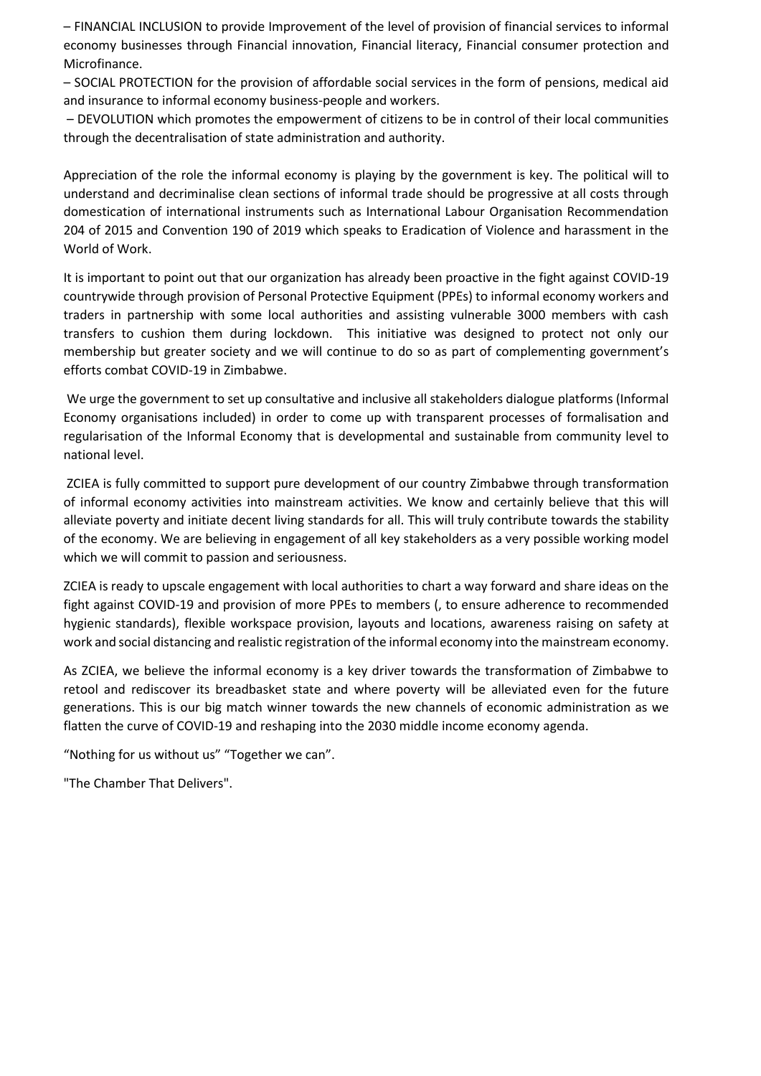– FINANCIAL INCLUSION to provide Improvement of the level of provision of financial services to informal economy businesses through Financial innovation, Financial literacy, Financial consumer protection and Microfinance.

– SOCIAL PROTECTION for the provision of affordable social services in the form of pensions, medical aid and insurance to informal economy business-people and workers.

– DEVOLUTION which promotes the empowerment of citizens to be in control of their local communities through the decentralisation of state administration and authority.

Appreciation of the role the informal economy is playing by the government is key. The political will to understand and decriminalise clean sections of informal trade should be progressive at all costs through domestication of international instruments such as International Labour Organisation Recommendation 204 of 2015 and Convention 190 of 2019 which speaks to Eradication of Violence and harassment in the World of Work.

It is important to point out that our organization has already been proactive in the fight against COVID-19 countrywide through provision of Personal Protective Equipment (PPEs) to informal economy workers and traders in partnership with some local authorities and assisting vulnerable 3000 members with cash transfers to cushion them during lockdown. This initiative was designed to protect not only our membership but greater society and we will continue to do so as part of complementing government's efforts combat COVID-19 in Zimbabwe.

We urge the government to set up consultative and inclusive all stakeholders dialogue platforms (Informal Economy organisations included) in order to come up with transparent processes of formalisation and regularisation of the Informal Economy that is developmental and sustainable from community level to national level.

ZCIEA is fully committed to support pure development of our country Zimbabwe through transformation of informal economy activities into mainstream activities. We know and certainly believe that this will alleviate poverty and initiate decent living standards for all. This will truly contribute towards the stability of the economy. We are believing in engagement of all key stakeholders as a very possible working model which we will commit to passion and seriousness.

ZCIEA is ready to upscale engagement with local authorities to chart a way forward and share ideas on the fight against COVID-19 and provision of more PPEs to members (, to ensure adherence to recommended hygienic standards), flexible workspace provision, layouts and locations, awareness raising on safety at work and social distancing and realistic registration of the informal economy into the mainstream economy.

As ZCIEA, we believe the informal economy is a key driver towards the transformation of Zimbabwe to retool and rediscover its breadbasket state and where poverty will be alleviated even for the future generations. This is our big match winner towards the new channels of economic administration as we flatten the curve of COVID-19 and reshaping into the 2030 middle income economy agenda.

"Nothing for us without us" "Together we can".

"The Chamber That Delivers".